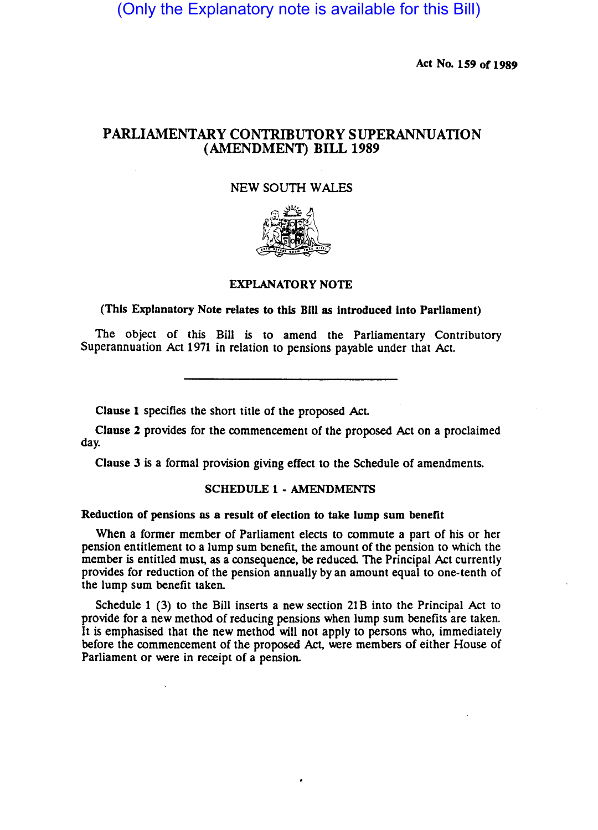(Only the Explanatory note is available for this Bill)

Act No. 159 of 1989

# PARLIAMENTARY CONTRIBUTORY SUPERANNUATION (AMENDMENT) BILL 1989

#### NEW SOUTH WALES



## EXPLANATORY NOTE

### (This Explanatory Note relates to this Bill as introduced into Parliament)

The object of this Bill is to amend the Parliamentary Contributory Superannuation Act 1971 in relation to pensions payable under that Act

Clause 1 specifies the short title of the proposed Act

Clause 2 provides for the commencement of the proposed Act on a proclaimed day.

Clause 3 is a formal provision giving effect to the Schedule of amendments.

## SCHEDULE 1 - AMENDMENTS

#### Reduction of pensions as a result of election to take lump sum benefit

When a former member of Parliament elects to commute a part of his or her pension entitlement to a lump sum benefit. the amount of the pension to which the member is entitled must, as a consequence, be reduced. The Principal Act currently provides for reduction of the pension annually by an amount equal to one-tenth of the lump sum benefit taken.

Schedule 1 (3) to the Bill inserts a new section 21B into the Principal Act to provide for a new method of reducing pensions when lump sum benefits are taken. It is emphasised that the new method will not apply to persons who, immediately before the commencement of the proposed Act. were members of either House of Parliament or were in receipt of a pension.